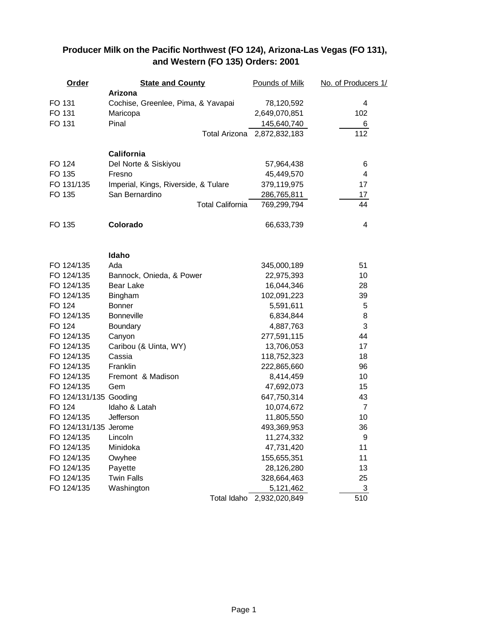## **Order <b>State and County Pounds of Milk No. of Producers 1/ Arizona** FO 131 Cochise, Greenlee, Pima, & Yavapai 78,120,592 4 FO 131 Maricopa 2,649,070,851 102 FO 131 Pinal 2012 145,640,740 6 Total Arizona 2,872,832,183 112 **California** FO 124 Del Norte & Siskiyou 57,964,438 6 FO 135 Fresno 45,449,570 4 FO 131/135 Imperial, Kings, Riverside, & Tulare 379,119,975 17 FO 135 San Bernardino 286,765,811 17 Total California 769,299,794 44 FO 135 **Colorado** 66,633,739 4 **Idaho** FO 124/135 Ada 345,000,189 51 FO 124/135 Bannock, Onieda, & Power 22,975,393 10 FO 124/135 Bear Lake 28 and 16,044,346 28 FO 124/135 Bingham 102,091,223 39 FO 124 Bonner 5,591,611 5 FO 124/135 Bonneville 6,834,844 8 FO 124 Boundary 2008 124 Boundary 2008 124 Boundary 2008 124 Boundary 2008 125 Boundary 2008 125 Boundary 30 FO 124/135 Canyon 277,591,115 44 FO 124/135 Caribou (& Uinta, WY) 13,706,053 17 FO 124/135 Cassia 2010 118,752,323 18 FO 124/135 Franklin 222,865,660 96 FO 124/135 Fremont & Madison 8,414,459 10 FO 124/135 Gem 47,692,073 15 FO 124/131/135 Gooding 647,750,314 43 FO 124 Idaho & Latah 10,074,672 7 FO 124/135 Jefferson 2008 11,805,550 10 FO 124/131/135 Jerome 36 and 36 and 493,369,953 369,953 and 493,369,953 FO 124/135 Lincoln 11,274,332 9 FO 124/135 Minidoka 47,731,420 11 FO 124/135 Owyhee 155,655,351 11 FO 124/135 Payette 28,126,280 13 FO 124/135 Twin Falls 328,664,463 25 FO 124/135 Washington 5,121,462 3 Total Idaho 2,932,020,849 510

## **Producer Milk on the Pacific Northwest (FO 124), Arizona-Las Vegas (FO 131), and Western (FO 135) Orders: 2001**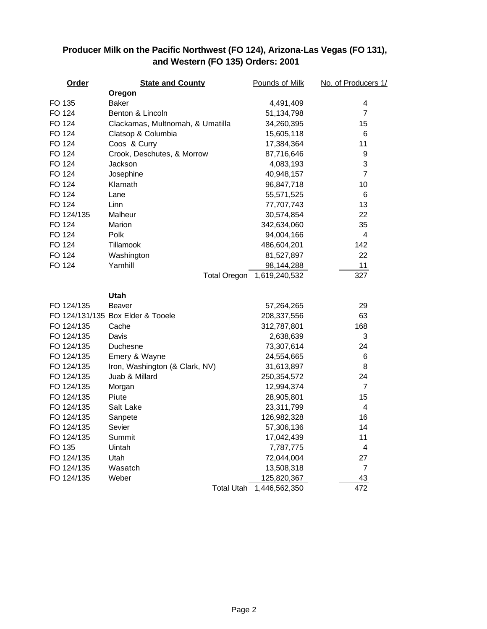## **Producer Milk on the Pacific Northwest (FO 124), Arizona-Las Vegas (FO 131), and Western (FO 135) Orders: 2001**

| Order      | <b>State and County</b>           | Pounds of Milk | No. of Producers 1/ |
|------------|-----------------------------------|----------------|---------------------|
|            | Oregon                            |                |                     |
| FO 135     | Baker                             | 4,491,409      | 4                   |
| FO 124     | Benton & Lincoln                  | 51,134,798     | $\overline{7}$      |
| FO 124     | Clackamas, Multnomah, & Umatilla  | 34,260,395     | 15                  |
| FO 124     | Clatsop & Columbia                | 15,605,118     | $\,6$               |
| FO 124     | Coos & Curry                      | 17,384,364     | 11                  |
| FO 124     | Crook, Deschutes, & Morrow        | 87,716,646     | 9                   |
| FO 124     | Jackson                           | 4,083,193      | 3                   |
| FO 124     | Josephine                         | 40,948,157     | $\overline{7}$      |
| FO 124     | Klamath                           | 96,847,718     | 10                  |
| FO 124     | Lane                              | 55,571,525     | $\,6$               |
| FO 124     | Linn                              | 77,707,743     | 13                  |
| FO 124/135 | Malheur                           | 30,574,854     | 22                  |
| FO 124     | Marion                            | 342,634,060    | 35                  |
| FO 124     | Polk                              | 94,004,166     | 4                   |
| FO 124     | Tillamook                         | 486,604,201    | 142                 |
| FO 124     | Washington                        | 81,527,897     | 22                  |
| FO 124     | Yamhill                           | 98,144,288     | 11                  |
|            | <b>Total Oregon</b>               | 1,619,240,532  | 327                 |
|            | Utah                              |                |                     |
| FO 124/135 | Beaver                            | 57,264,265     | 29                  |
|            | FO 124/131/135 Box Elder & Tooele | 208,337,556    | 63                  |
| FO 124/135 | Cache                             | 312,787,801    | 168                 |
| FO 124/135 | Davis                             | 2,638,639      | 3                   |
| FO 124/135 | Duchesne                          | 73,307,614     | 24                  |
| FO 124/135 | Emery & Wayne                     | 24,554,665     | 6                   |
| FO 124/135 | Iron, Washington (& Clark, NV)    | 31,613,897     | 8                   |
| FO 124/135 | Juab & Millard                    | 250,354,572    | 24                  |
| FO 124/135 | Morgan                            | 12,994,374     | $\overline{7}$      |
| FO 124/135 | Piute                             | 28,905,801     | 15                  |
| FO 124/135 | Salt Lake                         | 23,311,799     | 4                   |
| FO 124/135 | Sanpete                           | 126,982,328    | 16                  |
| FO 124/135 | Sevier                            | 57,306,136     | 14                  |
| FO 124/135 | Summit                            | 17,042,439     | 11                  |
| FO 135     | Uintah                            | 7,787,775      | 4                   |
| FO 124/135 | Utah                              | 72,044,004     | 27                  |
| FO 124/135 | Wasatch                           | 13,508,318     | 7                   |
| FO 124/135 | Weber                             | 125,820,367    | 43                  |
|            | <b>Total Utah</b>                 | 1,446,562,350  | 472                 |
|            |                                   |                |                     |